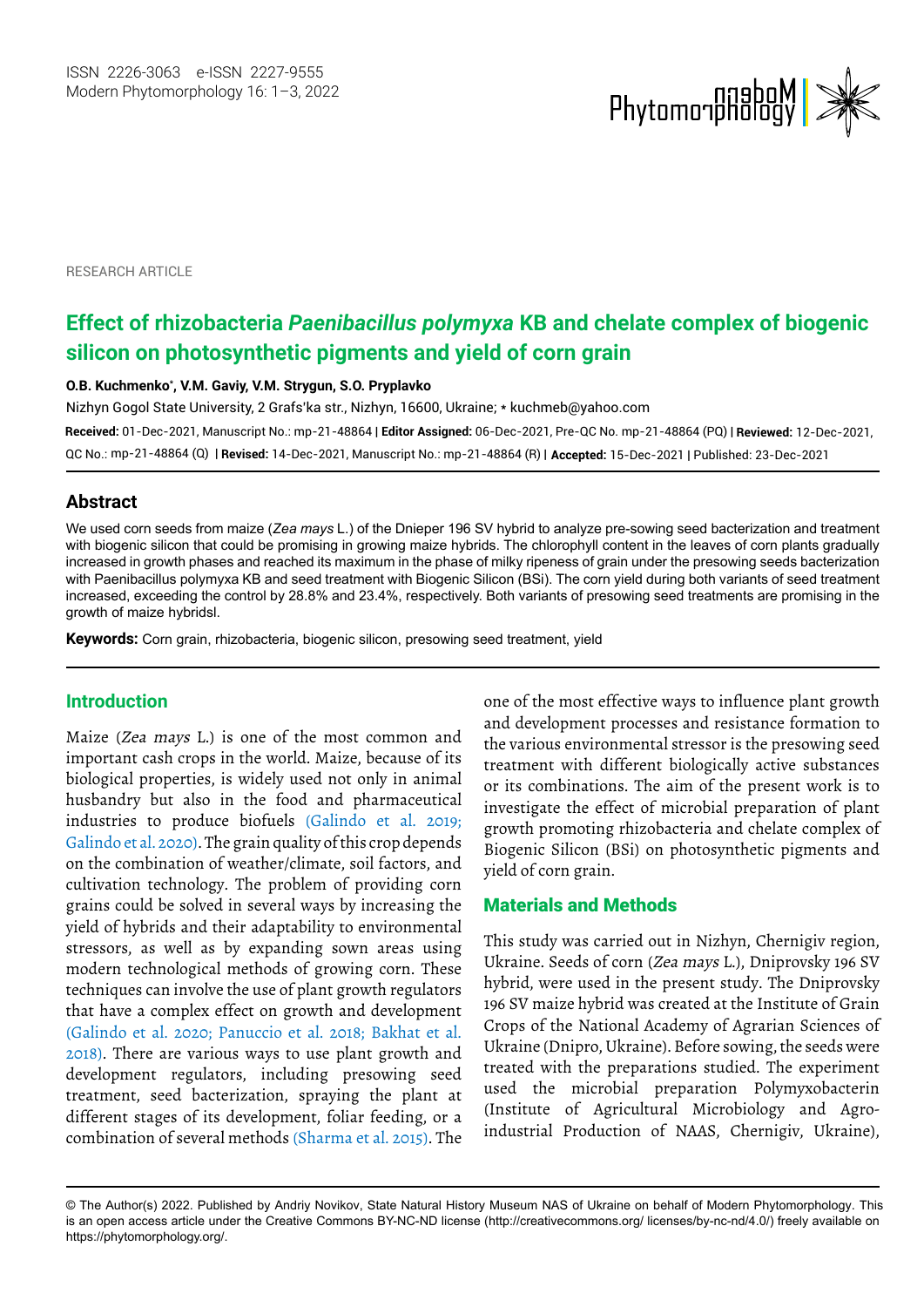

RESEARCH ARTICLE

# **Effect of rhizobacteria** *Paenibacillus polymyxa* **KB and chelate complex of biogenic silicon on photosynthetic pigments and yield of corn grain**

**O.B. Kuchmenko\* , V.M. Gaviy, V.M. Strygun, S.O. Pryplavko**

Nizhyn Gogol State University, 2 Grafs'ka str., Nizhyn, 16600, Ukraine; \* kuchmeb@yahoo.com

**Received:** 01-Dec-2021, Manuscript No.: mp-21-48864 | **Editor Assigned:** 06-Dec-2021, Pre-QC No. mp-21-48864 (PQ) | **Reviewed:** 12-Dec-2021, mp-21-48864 (Q) | **Revised:** 14-Dec-2021, Manuscript No.: mp-21-48864 (R) | **Accepted:** 15-Dec-2021 | Published: 23-Dec-2021 QC No.:

## **Abstract**

We used corn seeds from maize (*Zea mays* L.) of the Dnieper 196 SV hybrid to analyze pre-sowing seed bacterization and treatment with biogenic silicon that could be promising in growing maize hybrids. The chlorophyll content in the leaves of corn plants gradually increased in growth phases and reached its maximum in the phase of milky ripeness of grain under the presowing seeds bacterization with Paenibacillus polymyxa KB and seed treatment with Biogenic Silicon (BSi). The corn yield during both variants of seed treatment increased, exceeding the control by 28.8% and 23.4%, respectively. Both variants of presowing seed treatments are promising in the growth of maize hybridsl.

**Keywords:** Corn grain, rhizobacteria, biogenic silicon, presowing seed treatment, yield

## **Introduction**

Maize (Zea mays L.) is one of the most common and important cash crops in the world. Maize, because of its biological properties, is widely used not only in animal husbandry but also in the food and pharmaceutical industries to produce biofuels (Galindo et al. 2019; Galindo et al. 2020). The grain quality of this crop depends on the combination of weather/climate, soil factors, and cultivation technology. The problem of providing corn grains could be solved in several ways by increasing the yield of hybrids and their adaptability to environmental stressors, as well as by expanding sown areas using modern technological methods of growing corn. These techniques can involve the use of plant growth regulators that have a complex effect on growth and development (Galindo et al. 2020; Panuccio et al. 2018; Bakhat et al. 2018). There are various ways to use plant growth and development regulators, including presowing seed treatment, seed bacterization, spraying the plant at different stages of its development, foliar feeding, or a combination of several methods (Sharma et al. 2015). The

one of the most effective ways to influence plant growth and development processes and resistance formation to the various environmental stressor is the presowing seed treatment with different biologically active substances or its combinations. The aim of the present work is to investigate the effect of microbial preparation of plant growth promoting rhizobacteria and chelate complex of Biogenic Silicon (BSi) on photosynthetic pigments and yield of corn grain.

## Materials and Methods

This study was carried out in Nizhyn, Chernigiv region, Ukraine. Seeds of corn (Zea mays L.), Dniprovsky 196 SV hybrid, were used in the present study. The Dniprovsky 196 SV maize hybrid was created at the Institute of Grain Crops of the National Academy of Agrarian Sciences of Ukraine (Dnipro, Ukraine). Before sowing, the seeds were treated with the preparations studied. The experiment used the microbial preparation Polymyxobacterin (Institute of Agricultural Microbiology and Agroindustrial Production of NAAS, Chernigiv, Ukraine),

<sup>©</sup> The Author(s) 2022. Published by Andriy Novikov, State Natural History Museum NAS of Ukraine on behalf of Modern Phytomorphology. This is an open access article under the Creative Commons BY-NC-ND license (http://creativecommons.org/ licenses/by-nc-nd/4.0/) freely available on https://phytomorphology.org/.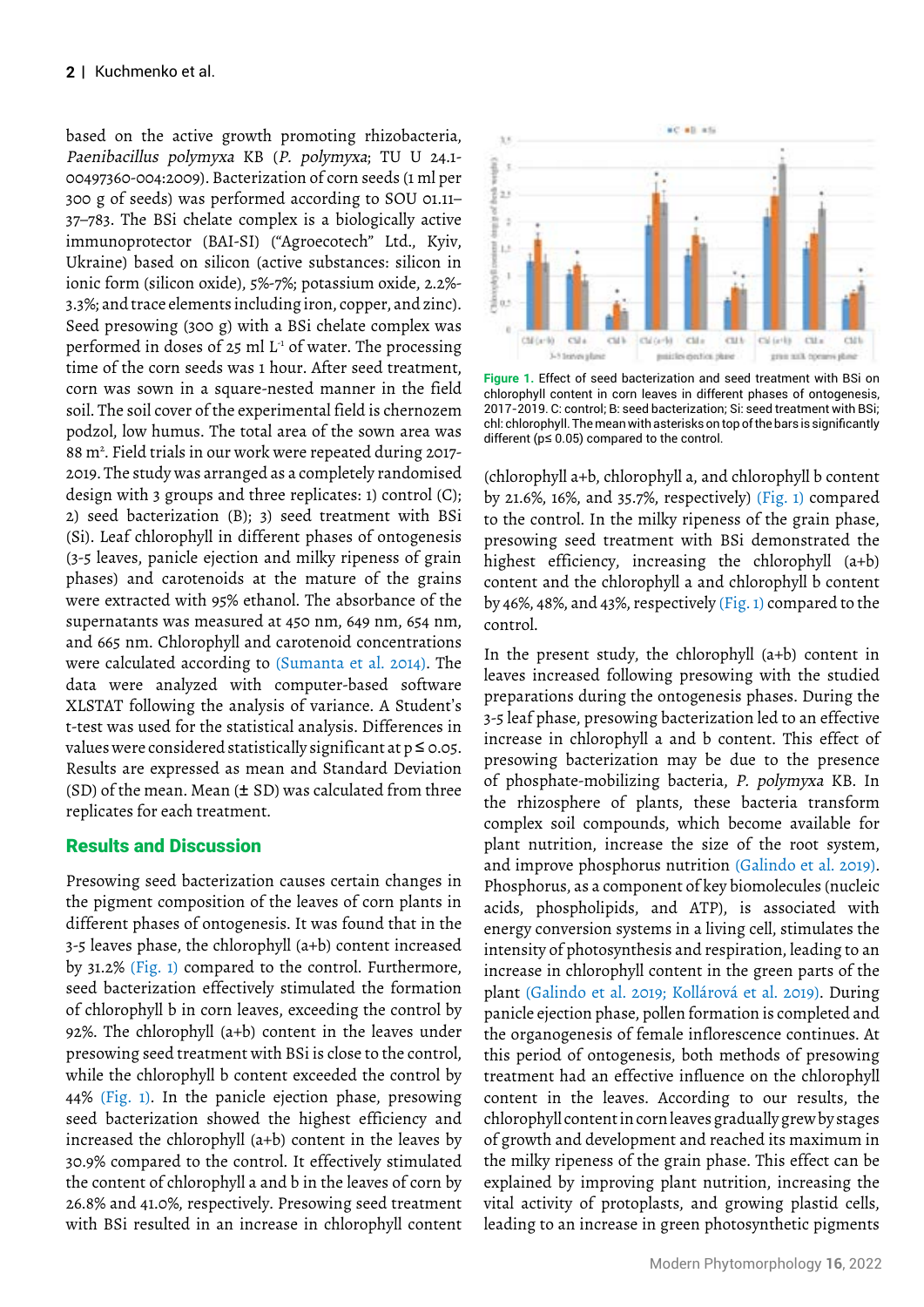based on the active growth promoting rhizobacteria, Paenibacillus polymyxa KB (P. polymyxa; TU U 24.1- 00497360-004:2009). Bacterization of corn seeds (1 ml per 300 g of seeds) was performed according to SOU 01.11– 37–783. The BSi chelate complex is a biologically active immunoprotector (BAI-SI) ("Agroecotech" Ltd., Kyiv, Ukraine) based on silicon (active substances: silicon in ionic form (silicon oxide), 5%-7%; potassium oxide, 2.2%- 3.3%; and trace elements including iron, copper, and zinc). Seed presowing (300 g) with a BSi chelate complex was performed in doses of  $25$  ml  $L<sup>1</sup>$  of water. The processing time of the corn seeds was 1 hour. After seed treatment, corn was sown in a square-nested manner in the field soil. The soil cover of the experimental field is chernozem podzol, low humus. The total area of the sown area was 88 m<sup>2</sup>. Field trials in our work were repeated during 2017-2019. The study was arranged as a completely randomised design with 3 groups and three replicates: 1) control (C); 2) seed bacterization (B); 3) seed treatment with BSi (Si). Leaf chlorophyll in different phases of ontogenesis (3-5 leaves, panicle ejection and milky ripeness of grain phases) and carotenoids at the mature of the grains were extracted with 95% ethanol. The absorbance of the supernatants was measured at 450 nm, 649 nm, 654 nm, and 665 nm. Chlorophyll and carotenoid concentrations were calculated according to (Sumanta et al. 2014). The data were analyzed with computer-based software XLSTAT following the analysis of variance. A Student's t-test was used for the statistical analysis. Differences in values were considered statistically significant at  $p \le 0.05$ . Results are expressed as mean and Standard Deviation (SD) of the mean. Mean  $(\pm$  SD) was calculated from three replicates for each treatment.

# Results and Discussion

Presowing seed bacterization causes certain changes in the pigment composition of the leaves of corn plants in different phases of ontogenesis. It was found that in the 3-5 leaves phase, the chlorophyll (a+b) content increased by 31.2% (Fig. 1) compared to the control. Furthermore, seed bacterization effectively stimulated the formation of chlorophyll b in corn leaves, exceeding the control by 92%. The chlorophyll (a+b) content in the leaves under presowing seed treatment with BSi is close to the control, while the chlorophyll b content exceeded the control by 44% (Fig. 1). In the panicle ejection phase, presowing seed bacterization showed the highest efficiency and increased the chlorophyll (a+b) content in the leaves by 30.9% compared to the control. It effectively stimulated the content of chlorophyll a and b in the leaves of corn by 26.8% and 41.0%, respectively. Presowing seed treatment with BSi resulted in an increase in chlorophyll content



**Figure 1.** Effect of seed bacterization and seed treatment with BSi on chlorophyll content in corn leaves in different phases of ontogenesis, 2017-2019. C: control; B: seed bacterization; Si: seed treatment with BSi; chl: chlorophyll. The mean with asterisks on top of the bars is significantly different (p≤ 0.05) compared to the control.

(chlorophyll a+b, chlorophyll a, and chlorophyll b content by 21.6%, 16%, and 35.7%, respectively) (Fig. 1) compared to the control. In the milky ripeness of the grain phase, presowing seed treatment with BSi demonstrated the highest efficiency, increasing the chlorophyll (a+b) content and the chlorophyll a and chlorophyll b content by 46%, 48%, and 43%, respectively (Fig. 1) compared to the control.

In the present study, the chlorophyll (a+b) content in leaves increased following presowing with the studied preparations during the ontogenesis phases. During the 3-5 leaf phase, presowing bacterization led to an effective increase in chlorophyll a and b content. This effect of presowing bacterization may be due to the presence of phosphate-mobilizing bacteria, P. polymyxa KB. In the rhizosphere of plants, these bacteria transform complex soil compounds, which become available for plant nutrition, increase the size of the root system, and improve phosphorus nutrition (Galindo et al. 2019). Phosphorus, as a component of key biomolecules (nucleic acids, phospholipids, and ATP), is associated with energy conversion systems in a living cell, stimulates the intensity of photosynthesis and respiration, leading to an increase in chlorophyll content in the green parts of the plant (Galindo et al. 2019; Kollárová et al. 2019). During panicle ejection phase, pollen formation is completed and the organogenesis of female inflorescence continues. At this period of ontogenesis, both methods of presowing treatment had an effective influence on the chlorophyll content in the leaves. According to our results, the chlorophyll content in corn leaves gradually grew by stages of growth and development and reached its maximum in the milky ripeness of the grain phase. This effect can be explained by improving plant nutrition, increasing the vital activity of protoplasts, and growing plastid cells, leading to an increase in green photosynthetic pigments